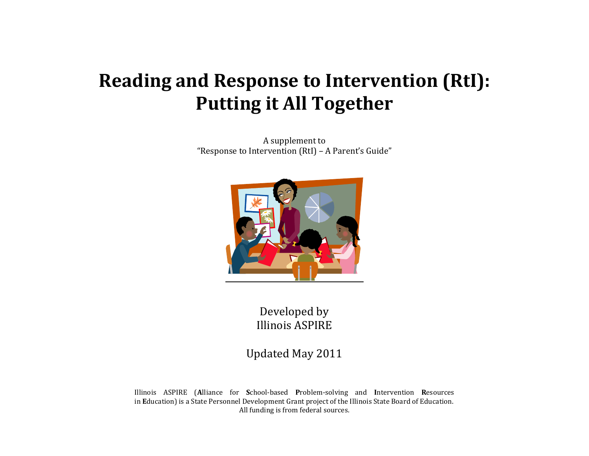# **Reading and Response to Intervention (RtI): Putting it All Together**

A supplement to "Response to Intervention (RtI) – A Parent's Guide"



Developed by Illinois ASPIRE

Updated May 2011

Illinois ASPIRE (**A**lliance for **S**chool-based **P**roblem-solving and **I**ntervention **R**esources in **E**ducation) is a State Personnel Development Grant project of the Illinois State Board of Education. All funding is from federal sources.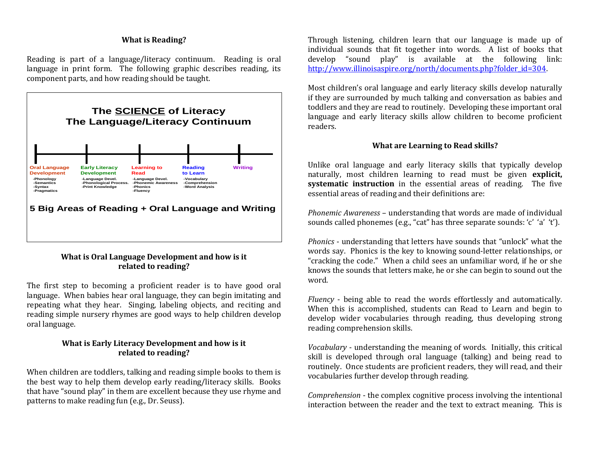# **What is Reading?**

Reading is part of a language/literacy continuum. Reading is oral language in print form. The following graphic describes reading, its component parts, and how reading should be taught.



# **What is Oral Language Development and how is it related to reading?**

The first step to becoming a proficient reader is to have good oral language. When babies hear oral language, they can begin imitating and repeating what they hear. Singing, labeling objects, and reciting and reading simple nursery rhymes are good ways to help children develop oral language.

# **What is Early Literacy Development and how is it related to reading?**

When children are toddlers, talking and reading simple books to them is the best way to help them develop early reading/literacy skills. Books that have "sound play" in them are excellent because they use rhyme and patterns to make reading fun (e.g., Dr. Seuss).

Through listening, children learn that our language is made up of individual sounds that fit together into words. A list of books that develop "sound play" is available at the following link: http://www.illinoisaspire.org/north/documents.php?folder\_id=304.

Most children's oral language and early literacy skills develop naturally if they are surrounded by much talking and conversation as babies and toddlers and they are read to routinely. Developing these important oral language and early literacy skills allow children to become proficient readers.

#### **What are Learning to Read skills?**

Unlike oral language and early literacy skills that typically develop naturally, most children learning to read must be given **explicit, systematic instruction** in the essential areas of reading. The five essential areas of reading and their definitions are:

*Phonemic Awareness* – understanding that words are made of individual sounds called phonemes (e.g., "cat" has three separate sounds: 'c' 'a' 't').

*Phonics* - understanding that letters have sounds that "unlock" what the words say. Phonics is the key to knowing sound-letter relationships, or "cracking the code." When a child sees an unfamiliar word, if he or she knows the sounds that letters make, he or she can begin to sound out the word.

*Fluency* - being able to read the words effortlessly and automatically. When this is accomplished, students can Read to Learn and begin to develop wider vocabularies through reading, thus developing strong reading comprehension skills.

*Vocabulary* - understanding the meaning of words. Initially, this critical skill is developed through oral language (talking) and being read to routinely. Once students are proficient readers, they will read, and their vocabularies further develop through reading.

*Comprehension* - the complex cognitive process involving the intentional interaction between the reader and the text to extract meaning. This is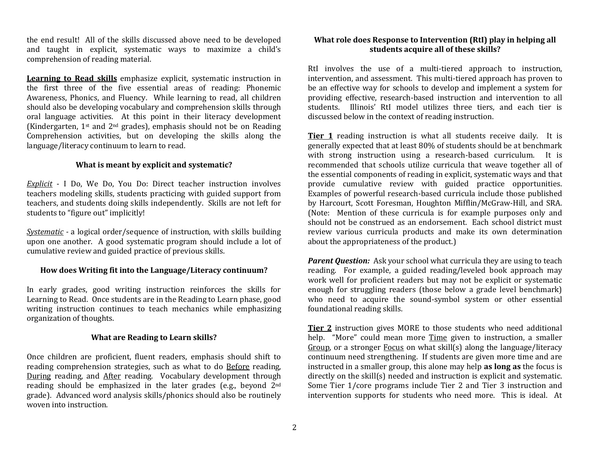the end result! All of the skills discussed above need to be developed and taught in explicit, systematic ways to maximize a child's comprehension of reading material.

**Learning to Read skills** emphasize explicit, systematic instruction in the first three of the five essential areas of reading: Phonemic Awareness, Phonics, and Fluency. While learning to read, all children should also be developing vocabulary and comprehension skills through oral language activities. At this point in their literacy development (Kindergarten, 1st and 2nd grades), emphasis should not be on Reading Comprehension activities, but on developing the skills along the language/literacy continuum to learn to read.

#### **What is meant by explicit and systematic?**

*Explicit* - I Do, We Do, You Do: Direct teacher instruction involves teachers modeling skills, students practicing with guided support from teachers, and students doing skills independently. Skills are not left for students to "figure out" implicitly!

*Systematic -* a logical order/sequence of instruction, with skills building upon one another. A good systematic program should include a lot of cumulative review and guided practice of previous skills.

## **How does Writing fit into the Language/Literacy continuum?**

In early grades, good writing instruction reinforces the skills for Learning to Read. Once students are in the Reading to Learn phase, good writing instruction continues to teach mechanics while emphasizing organization of thoughts.

## **What are Reading to Learn skills?**

Once children are proficient, fluent readers, emphasis should shift to reading comprehension strategies, such as what to do Before reading, During reading, and After reading. Vocabulary development through reading should be emphasized in the later grades (e.g., beyond 2nd grade). Advanced word analysis skills/phonics should also be routinely woven into instruction.

## **What role does Response to Intervention (RtI) play in helping all students acquire all of these skills?**

RtI involves the use of a multi-tiered approach to instruction, intervention, and assessment. This multi-tiered approach has proven to be an effective way for schools to develop and implement a system for providing effective, research-based instruction and intervention to all students. Illinois' RtI model utilizes three tiers, and each tier is discussed below in the context of reading instruction.

**Tier 1** reading instruction is what all students receive daily. It is generally expected that at least 80% of students should be at benchmark with strong instruction using a research-based curriculum. It is recommended that schools utilize curricula that weave together all of the essential components of reading in explicit, systematic ways and that provide cumulative review with guided practice opportunities. Examples of powerful research-based curricula include those published by Harcourt, Scott Foresman, Houghton Mifflin/McGraw-Hill, and SRA. (Note: Mention of these curricula is for example purposes only and should not be construed as an endorsement. Each school district must review various curricula products and make its own determination about the appropriateness of the product.)

*Parent Question:* Ask your school what curricula they are using to teach reading. For example, a guided reading/leveled book approach may work well for proficient readers but may not be explicit or systematic enough for struggling readers (those below a grade level benchmark) who need to acquire the sound-symbol system or other essential foundational reading skills.

**Tier 2** instruction gives MORE to those students who need additional help. "More" could mean more Time given to instruction, a smaller Group, or a stronger Focus on what skill(s) along the language/literacy continuum need strengthening. If students are given more time and are instructed in a smaller group, this alone may help **as long as** the focus is directly on the skill(s) needed and instruction is explicit and systematic. Some Tier 1/core programs include Tier 2 and Tier 3 instruction and intervention supports for students who need more. This is ideal. At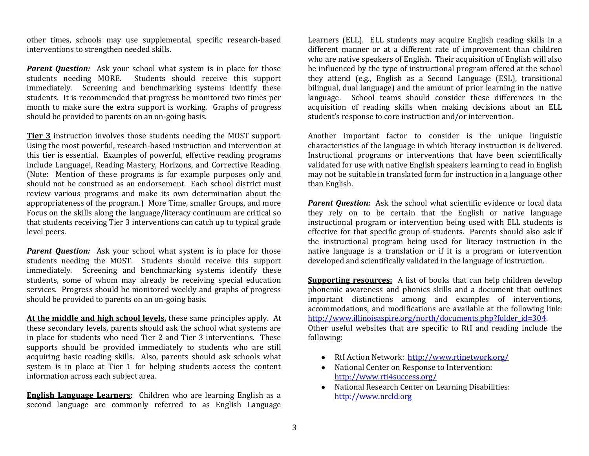other times, schools may use supplemental, specific research-based interventions to strengthen needed skills.

*Parent Question:* Ask your school what system is in place for those students needing MORE. Students should receive this support immediately. Screening and benchmarking systems identify these students. It is recommended that progress be monitored two times per month to make sure the extra support is working. Graphs of progress should be provided to parents on an on-going basis.

**Tier 3** instruction involves those students needing the MOST support. Using the most powerful, research-based instruction and intervention at this tier is essential. Examples of powerful, effective reading programs include Language!, Reading Mastery, Horizons, and Corrective Reading. (Note: Mention of these programs is for example purposes only and should not be construed as an endorsement. Each school district must review various programs and make its own determination about the appropriateness of the program.) More Time, smaller Groups, and more Focus on the skills along the language/literacy continuum are critical so that students receiving Tier 3 interventions can catch up to typical grade level peers.

*Parent Question:* Ask your school what system is in place for those students needing the MOST. Students should receive this support immediately. Screening and benchmarking systems identify these students, some of whom may already be receiving special education services. Progress should be monitored weekly and graphs of progress should be provided to parents on an on-going basis.

**At the middle and high school levels,** these same principles apply. At these secondary levels, parents should ask the school what systems are in place for students who need Tier 2 and Tier 3 interventions. These supports should be provided immediately to students who are still acquiring basic reading skills. Also, parents should ask schools what system is in place at Tier 1 for helping students access the content information across each subject area.

**English Language Learners:** Children who are learning English as a second language are commonly referred to as English Language

Learners (ELL). ELL students may acquire English reading skills in a different manner or at a different rate of improvement than children who are native speakers of English. Their acquisition of English will also be influenced by the type of instructional program offered at the school they attend (e.g., English as a Second Language (ESL), transitional bilingual, dual language) and the amount of prior learning in the native language. School teams should consider these differences in the acquisition of reading skills when making decisions about an ELL student's response to core instruction and/or intervention.

Another important factor to consider is the unique linguistic characteristics of the language in which literacy instruction is delivered. Instructional programs or interventions that have been scientifically validated for use with native English speakers learning to read in English may not be suitable in translated form for instruction in a language other than English.

*Parent Question:* Ask the school what scientific evidence or local data they rely on to be certain that the English or native language instructional program or intervention being used with ELL students is effective for that specific group of students. Parents should also ask if the instructional program being used for literacy instruction in the native language is a translation or if it is a program or intervention developed and scientifically validated in the language of instruction.

**Supporting resources:** A list of books that can help children develop phonemic awareness and phonics skills and a document that outlines important distinctions among and examples of interventions, accommodations, and modifications are available at the following link: http://www.illinoisaspire.org/north/documents.php?folder\_id=304. Other useful websites that are specific to RtI and reading include the following:

- RtI Action Network:<http://www.rtinetwork.org/>
- National Center on Response to Intervention: <http://www.rti4success.org/>
- National Research Center on Learning Disabilities: [http://www.nrcld.org](http://www.nrcld.org/)